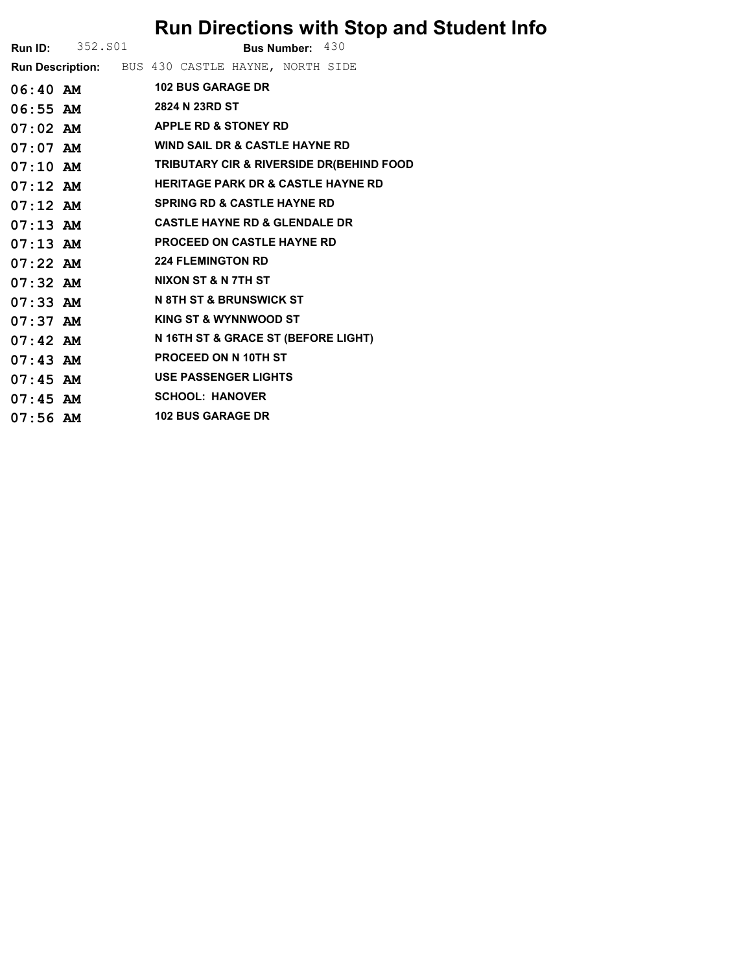## Run Directions with Stop and Student Info

|            | <b>Run ID:</b> 352.801  |                          |                                                   | Bus Number: 430 |                                                     |
|------------|-------------------------|--------------------------|---------------------------------------------------|-----------------|-----------------------------------------------------|
|            |                         |                          | Run Description: BUS 430 CASTLE HAYNE, NORTH SIDE |                 |                                                     |
|            | 06:40 AM                |                          | <b>102 BUS GARAGE DR</b>                          |                 |                                                     |
|            | 06:55 AM 2824 N 23RD ST |                          |                                                   |                 |                                                     |
| $07:02$ AM |                         |                          | <b>APPLE RD &amp; STONEY RD</b>                   |                 |                                                     |
| $07:07$ AM |                         |                          | <b>WIND SAIL DR &amp; CASTLE HAYNE RD</b>         |                 |                                                     |
| $07:10$ AM |                         |                          |                                                   |                 | <b>TRIBUTARY CIR &amp; RIVERSIDE DR(BEHIND FOOD</b> |
| $07:12$ AM |                         |                          | <b>HERITAGE PARK DR &amp; CASTLE HAYNE RD</b>     |                 |                                                     |
| $07:12$ AM |                         |                          | <b>SPRING RD &amp; CASTLE HAYNE RD</b>            |                 |                                                     |
| $07:13$ AM |                         |                          | <b>CASTLE HAYNE RD &amp; GLENDALE DR</b>          |                 |                                                     |
| $07:13$ AM |                         |                          | <b>PROCEED ON CASTLE HAYNE RD</b>                 |                 |                                                     |
| $07:22$ AM |                         | <b>224 FLEMINGTON RD</b> |                                                   |                 |                                                     |
| $07:32$ AM |                         |                          | NIXON ST & N 7TH ST                               |                 |                                                     |
| $07:33$ AM |                         |                          | N 8TH ST & BRUNSWICK ST                           |                 |                                                     |
| $07:37$ AM |                         |                          | KING ST & WYNNWOOD ST                             |                 |                                                     |
| $07:42$ AM |                         |                          | N 16TH ST & GRACE ST (BEFORE LIGHT)               |                 |                                                     |
| $07:43$ AM |                         |                          | PROCEED ON N 10TH ST                              |                 |                                                     |
| $07:45$ AM |                         |                          | <b>USE PASSENGER LIGHTS</b>                       |                 |                                                     |
| $07:45$ AM |                         | <b>SCHOOL: HANOVER</b>   |                                                   |                 |                                                     |
| $07:56$ AM |                         |                          | <b>102 BUS GARAGE DR</b>                          |                 |                                                     |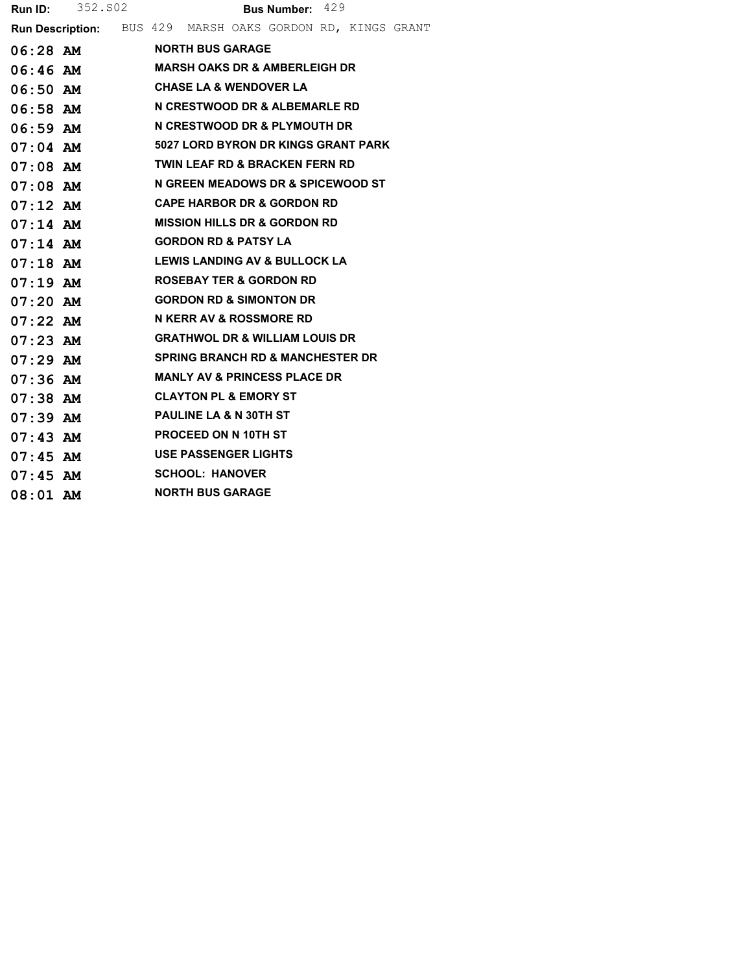|            | <b>Run ID:</b> 352.802                                     |  |                                   | Bus Number: 429                             |  |  |
|------------|------------------------------------------------------------|--|-----------------------------------|---------------------------------------------|--|--|
|            | Run Description: BUS 429 MARSH OAKS GORDON RD, KINGS GRANT |  |                                   |                                             |  |  |
|            | 06:28 AM NORTH BUS GARAGE                                  |  |                                   |                                             |  |  |
|            | $06:46$ AM                                                 |  |                                   | <b>MARSH OAKS DR &amp; AMBERLEIGH DR</b>    |  |  |
|            | 06:50 AM CHASE LA & WENDOVER LA                            |  |                                   |                                             |  |  |
|            | 06:58 AM N CRESTWOOD DR & ALBEMARLE RD                     |  |                                   |                                             |  |  |
|            | 06:59 AM N CRESTWOOD DR & PLYMOUTH DR                      |  |                                   |                                             |  |  |
|            | $07:04$ AM                                                 |  |                                   | 5027 LORD BYRON DR KINGS GRANT PARK         |  |  |
|            | $07:08$ AM                                                 |  |                                   | TWIN LEAF RD & BRACKEN FERN RD              |  |  |
|            | 07:08 AM N GREEN MEADOWS DR & SPICEWOOD ST                 |  |                                   |                                             |  |  |
|            | 07:12 AM CAPE HARBOR DR & GORDON RD                        |  |                                   |                                             |  |  |
|            | $07:14$ AM                                                 |  |                                   | <b>MISSION HILLS DR &amp; GORDON RD</b>     |  |  |
|            | $07:14$ AM                                                 |  | <b>GORDON RD &amp; PATSY LA</b>   |                                             |  |  |
| 07:18 AM   |                                                            |  |                                   | <b>LEWIS LANDING AV &amp; BULLOCK LA</b>    |  |  |
|            | 07:19 AM ROSEBAY TER & GORDON RD                           |  |                                   |                                             |  |  |
| 07:20 AM   |                                                            |  |                                   | <b>GORDON RD &amp; SIMONTON DR</b>          |  |  |
|            | 07:22 AM NKERR AV & ROSSMORE RD                            |  |                                   |                                             |  |  |
| 07:23 AM   |                                                            |  |                                   | <b>GRATHWOL DR &amp; WILLIAM LOUIS DR</b>   |  |  |
| $07:29$ AM |                                                            |  |                                   | <b>SPRING BRANCH RD &amp; MANCHESTER DR</b> |  |  |
| 07:36 AM   |                                                            |  |                                   | <b>MANLY AV &amp; PRINCESS PLACE DR</b>     |  |  |
| 07:38 AM   |                                                            |  | <b>CLAYTON PL &amp; EMORY ST</b>  |                                             |  |  |
| 07:39 AM   |                                                            |  | <b>PAULINE LA &amp; N 30TH ST</b> |                                             |  |  |
| 07:43 AM   |                                                            |  | <b>PROCEED ON N 10TH ST</b>       |                                             |  |  |
| 07:45 AM   |                                                            |  | <b>USE PASSENGER LIGHTS</b>       |                                             |  |  |
| 07:45 AM   |                                                            |  | <b>SCHOOL: HANOVER</b>            |                                             |  |  |
| 08:01 AM   |                                                            |  | <b>NORTH BUS GARAGE</b>           |                                             |  |  |
|            |                                                            |  |                                   |                                             |  |  |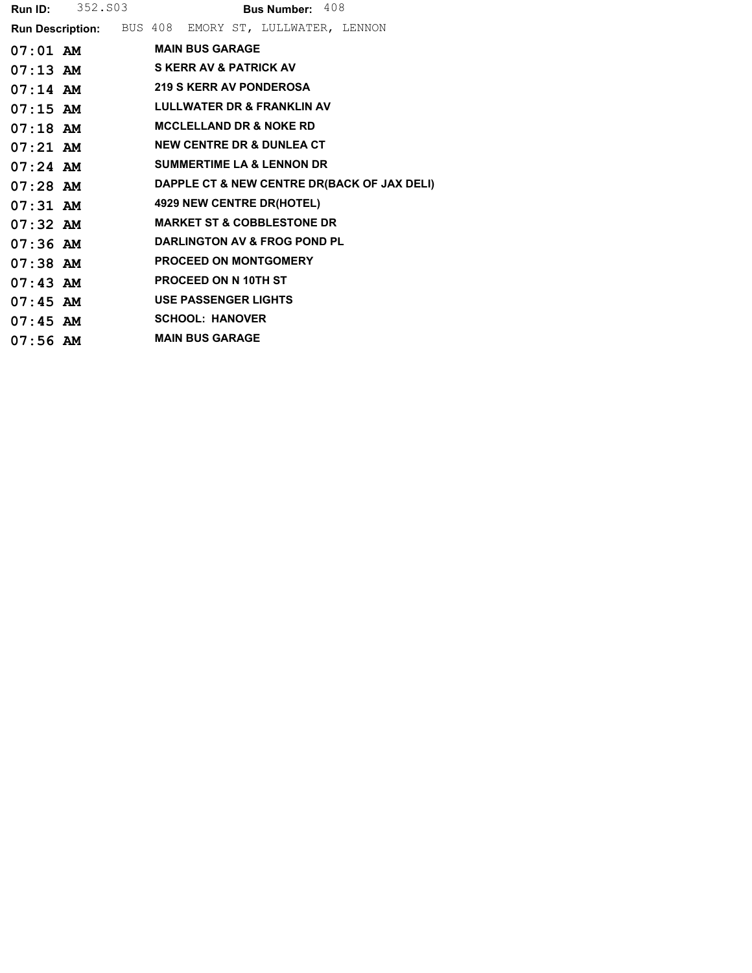|            | <b>Run ID:</b> 352.803 |                                                      | <b>Bus Number:</b> $408$ |                                             |
|------------|------------------------|------------------------------------------------------|--------------------------|---------------------------------------------|
|            |                        | Run Description: BUS 408 EMORY ST, LULLWATER, LENNON |                          |                                             |
|            | $07:01$ AM             | <b>MAIN BUS GARAGE</b>                               |                          |                                             |
|            |                        | 07:13 AM SKERR AV & PATRICK AV                       |                          |                                             |
| $07:14$ AM |                        | <b>219 S KERR AV PONDEROSA</b>                       |                          |                                             |
| $07:15$ AM |                        | <b>LULLWATER DR &amp; FRANKLIN AV</b>                |                          |                                             |
| $07:18$ AM |                        | <b>MCCLELLAND DR &amp; NOKE RD</b>                   |                          |                                             |
| $07:21$ AM |                        | <b>NEW CENTRE DR &amp; DUNLEA CT</b>                 |                          |                                             |
| $07:24$ AM |                        | <b>SUMMERTIME LA &amp; LENNON DR</b>                 |                          |                                             |
| $07:28$ AM |                        |                                                      |                          | DAPPLE CT & NEW CENTRE DR(BACK OF JAX DELI) |
| $07:31$ AM |                        | 4929 NEW CENTRE DR(HOTEL)                            |                          |                                             |
| $07:32$ AM |                        | <b>MARKET ST &amp; COBBLESTONE DR</b>                |                          |                                             |
| $07:36$ AM |                        | <b>DARLINGTON AV &amp; FROG POND PL</b>              |                          |                                             |
| $07:38$ AM |                        | PROCEED ON MONTGOMERY                                |                          |                                             |
| $07:43$ AM |                        | <b>PROCEED ON N 10TH ST</b>                          |                          |                                             |
| $07:45$ AM |                        | <b>USE PASSENGER LIGHTS</b>                          |                          |                                             |
| $07:45$ AM |                        | <b>SCHOOL: HANOVER</b>                               |                          |                                             |
| $07:56$ AM |                        | <b>MAIN BUS GARAGE</b>                               |                          |                                             |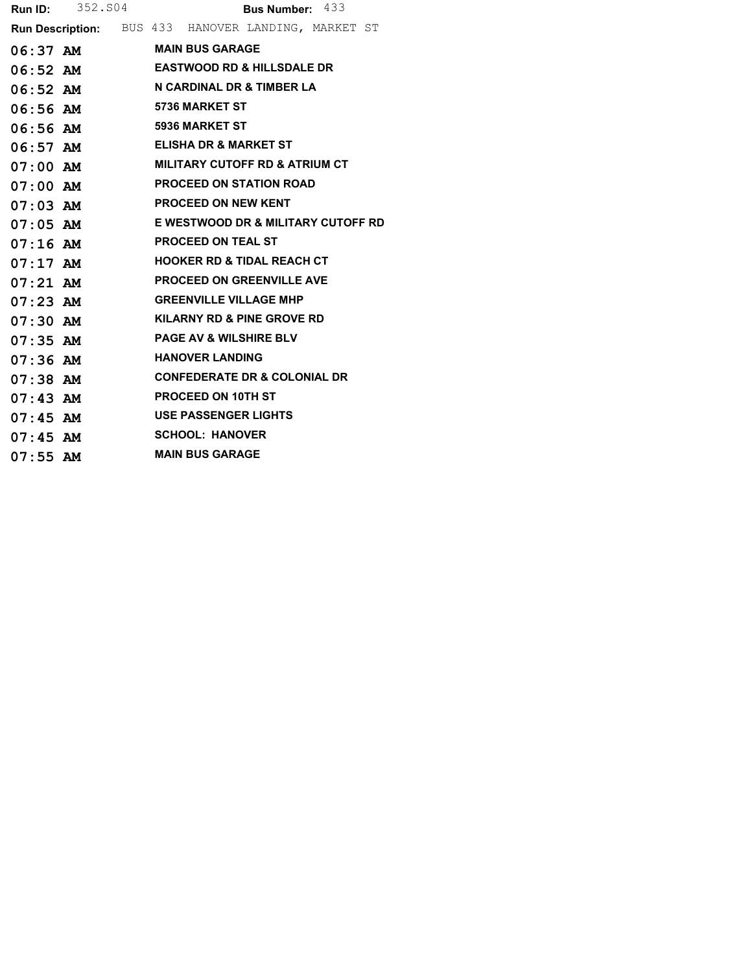|            | <b>Run ID:</b> 352.804 |  |                                   | <b>Bus Number:</b> $433$                  |                                                            |
|------------|------------------------|--|-----------------------------------|-------------------------------------------|------------------------------------------------------------|
|            |                        |  |                                   |                                           | <b>Run Description:</b> BUS 433 HANOVER LANDING, MARKET ST |
| 06:37 AM   |                        |  | <b>MAIN BUS GARAGE</b>            |                                           |                                                            |
| 06:52 AM   |                        |  |                                   | <b>EASTWOOD RD &amp; HILLSDALE DR</b>     |                                                            |
| $06:52$ AM |                        |  |                                   | N CARDINAL DR & TIMBER LA                 |                                                            |
| $06:56$ AM |                        |  | 5736 MARKET ST                    |                                           |                                                            |
| $06:56$ AM |                        |  | 5936 MARKET ST                    |                                           |                                                            |
| $06:57$ AM |                        |  | <b>ELISHA DR &amp; MARKET ST</b>  |                                           |                                                            |
| $07:00$ AM |                        |  |                                   | <b>MILITARY CUTOFF RD &amp; ATRIUM CT</b> |                                                            |
| $07:00$ AM |                        |  |                                   | <b>PROCEED ON STATION ROAD</b>            |                                                            |
| $07:03$ AM |                        |  | <b>PROCEED ON NEW KENT</b>        |                                           |                                                            |
| $07:05$ AM |                        |  |                                   |                                           | <b>E WESTWOOD DR &amp; MILITARY CUTOFF RD</b>              |
| $07:16$ AM |                        |  | <b>PROCEED ON TEAL ST</b>         |                                           |                                                            |
| $07:17$ AM |                        |  |                                   | <b>HOOKER RD &amp; TIDAL REACH CT</b>     |                                                            |
| $07:21$ AM |                        |  |                                   | <b>PROCEED ON GREENVILLE AVE</b>          |                                                            |
| $07:23$ AM |                        |  |                                   | <b>GREENVILLE VILLAGE MHP</b>             |                                                            |
| $07:30$ AM |                        |  |                                   | <b>KILARNY RD &amp; PINE GROVE RD</b>     |                                                            |
| $07:35$ AM |                        |  | <b>PAGE AV &amp; WILSHIRE BLV</b> |                                           |                                                            |
| $07:36$ AM |                        |  | <b>HANOVER LANDING</b>            |                                           |                                                            |
| $07:38$ AM |                        |  |                                   | <b>CONFEDERATE DR &amp; COLONIAL DR</b>   |                                                            |
| $07:43$ AM |                        |  | <b>PROCEED ON 10TH ST</b>         |                                           |                                                            |
| $07:45$ AM |                        |  | <b>USE PASSENGER LIGHTS</b>       |                                           |                                                            |
| $07:45$ AM |                        |  | <b>SCHOOL: HANOVER</b>            |                                           |                                                            |
| $07:55$ AM |                        |  | <b>MAIN BUS GARAGE</b>            |                                           |                                                            |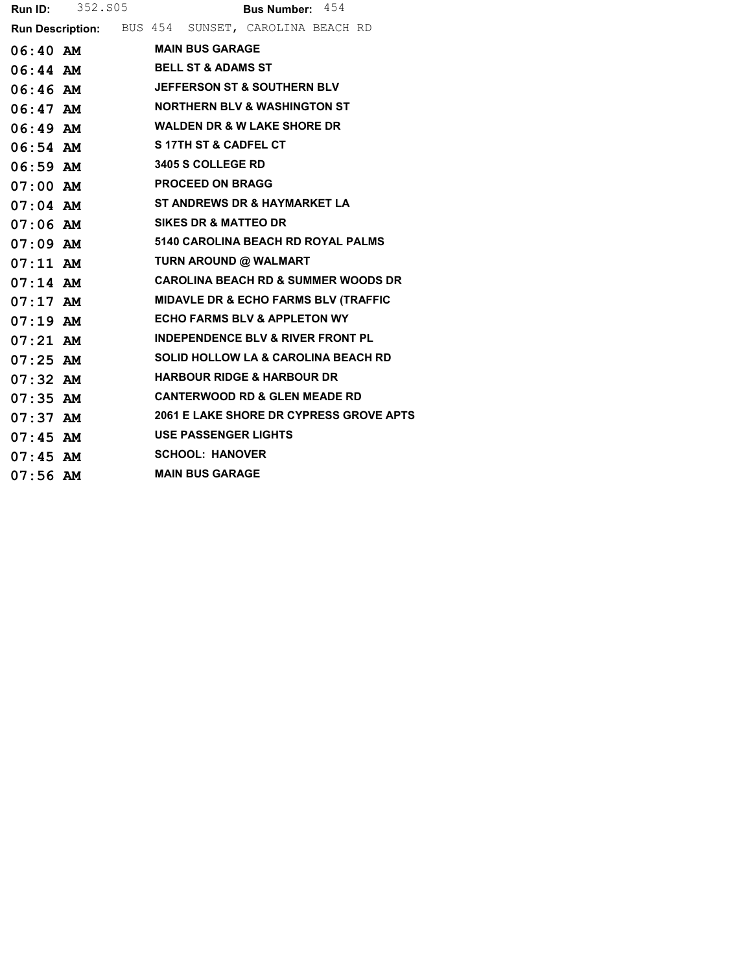|            | <b>Run ID:</b> 352.805      |  |                                  | Bus Number: 454                                    |  |
|------------|-----------------------------|--|----------------------------------|----------------------------------------------------|--|
|            |                             |  |                                  | Run Description: BUS 454 SUNSET, CAROLINA BEACH RD |  |
|            | 06:40 AM MAIN BUS GARAGE    |  |                                  |                                                    |  |
|            | 06:44 AM BELL ST & ADAMS ST |  |                                  |                                                    |  |
|            |                             |  |                                  | 06:46 AM JEFFERSON ST & SOUTHERN BLV               |  |
| $06:47$ AM |                             |  |                                  | <b>NORTHERN BLV &amp; WASHINGTON ST</b>            |  |
| $06:49$ AM |                             |  |                                  | <b>WALDEN DR &amp; W LAKE SHORE DR</b>             |  |
| $06:54$ AM |                             |  | <b>S 17TH ST &amp; CADFEL CT</b> |                                                    |  |
| $06:59$ AM |                             |  | <b>3405 S COLLEGE RD</b>         |                                                    |  |
| $07:00$ AM |                             |  | <b>PROCEED ON BRAGG</b>          |                                                    |  |
|            | $07:04$ AM                  |  |                                  | ST ANDREWS DR & HAYMARKET LA                       |  |
| $07:06$ AM |                             |  | <b>SIKES DR &amp; MATTEO DR</b>  |                                                    |  |
|            | $07:09$ AM                  |  |                                  | 5140 CAROLINA BEACH RD ROYAL PALMS                 |  |
| $07:11$ AM |                             |  |                                  | TURN AROUND @ WALMART                              |  |
|            | $07:14$ AM                  |  |                                  | <b>CAROLINA BEACH RD &amp; SUMMER WOODS DR</b>     |  |
| $07:17$ AM |                             |  |                                  | <b>MIDAVLE DR &amp; ECHO FARMS BLV (TRAFFIC</b>    |  |
|            | $07:19$ AM                  |  |                                  | <b>ECHO FARMS BLV &amp; APPLETON WY</b>            |  |
| $07:21$ AM |                             |  |                                  | <b>INDEPENDENCE BLV &amp; RIVER FRONT PL</b>       |  |
|            | $07:25$ AM                  |  |                                  | <b>SOLID HOLLOW LA &amp; CAROLINA BEACH RD</b>     |  |
| $07:32$ AM |                             |  |                                  | <b>HARBOUR RIDGE &amp; HARBOUR DR</b>              |  |
|            | $07:35$ AM                  |  |                                  | <b>CANTERWOOD RD &amp; GLEN MEADE RD</b>           |  |
| $07:37$ AM |                             |  |                                  | 2061 E LAKE SHORE DR CYPRESS GROVE APTS            |  |
|            | $07:45$ AM                  |  | <b>USE PASSENGER LIGHTS</b>      |                                                    |  |
| $07:45$ AM |                             |  | <b>SCHOOL: HANOVER</b>           |                                                    |  |
| $07:56$ AM |                             |  | <b>MAIN BUS GARAGE</b>           |                                                    |  |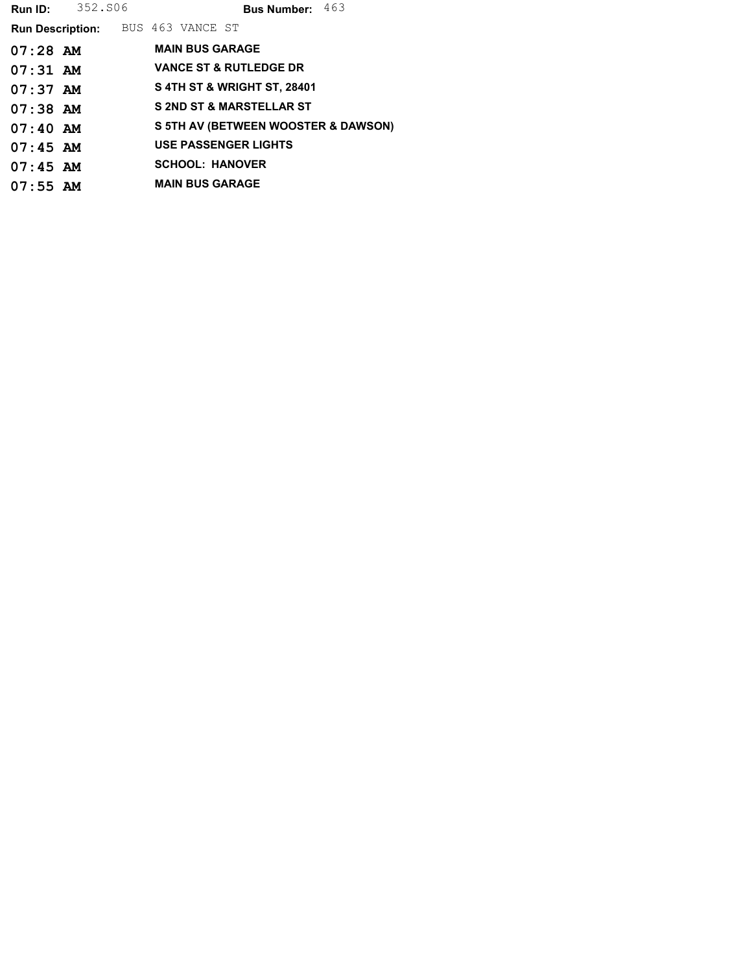|            | <b>Run ID:</b> 352.806                   |  |                        |                                       | Bus Number: 463 |                                     |
|------------|------------------------------------------|--|------------------------|---------------------------------------|-----------------|-------------------------------------|
|            | <b>Run Description:</b> BUS 463 VANCE ST |  |                        |                                       |                 |                                     |
| $07:28$ AM |                                          |  | <b>MAIN BUS GARAGE</b> |                                       |                 |                                     |
| $07:31$ AM |                                          |  |                        | <b>VANCE ST &amp; RUTLEDGE DR</b>     |                 |                                     |
| $07:37$ AM |                                          |  |                        | <b>S4TH ST &amp; WRIGHT ST, 28401</b> |                 |                                     |
| $07:38$ AM |                                          |  |                        | <b>S 2ND ST &amp; MARSTELLAR ST</b>   |                 |                                     |
| $07:40$ AM |                                          |  |                        |                                       |                 | S 5TH AV (BETWEEN WOOSTER & DAWSON) |
| $07:45$ AM |                                          |  |                        | <b>USE PASSENGER LIGHTS</b>           |                 |                                     |
| $07:45$ AM |                                          |  | <b>SCHOOL: HANOVER</b> |                                       |                 |                                     |
| $07:55$ AM |                                          |  | <b>MAIN BUS GARAGE</b> |                                       |                 |                                     |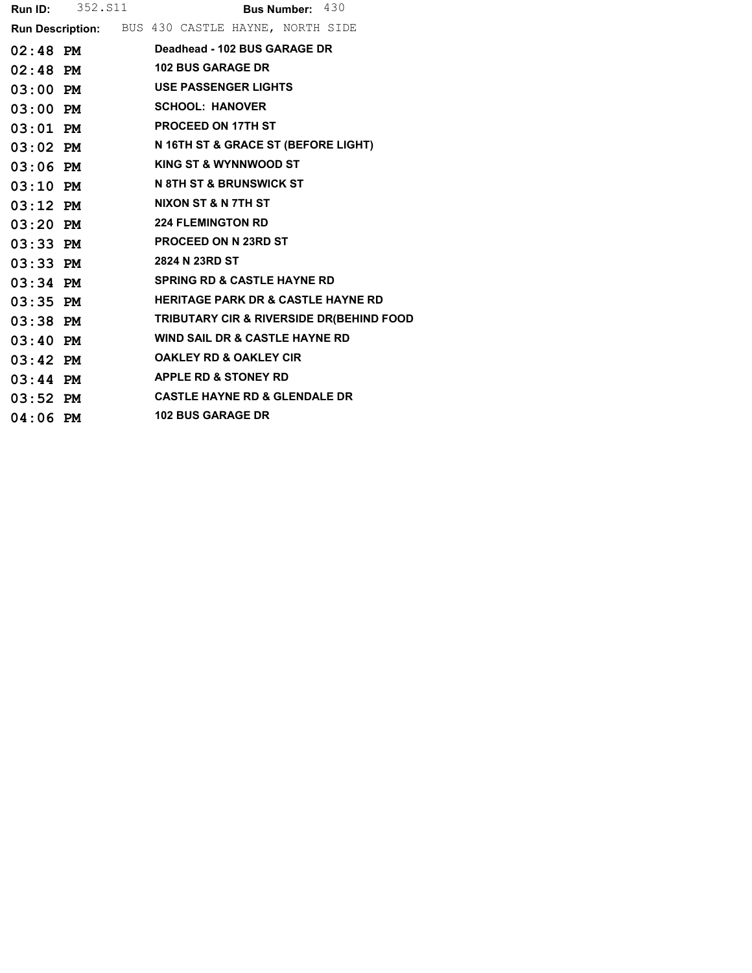| Run Description: BUS 430 CASTLE HAYNE, NORTH SIDE           |  |
|-------------------------------------------------------------|--|
| Deadhead - 102 BUS GARAGE DR<br>$02:48$ PM                  |  |
| <b>102 BUS GARAGE DR</b><br>$02:48$ PM                      |  |
| <b>USE PASSENGER LIGHTS</b><br>$03:00$ PM                   |  |
| <b>SCHOOL: HANOVER</b><br>$03:00$ PM                        |  |
| <b>PROCEED ON 17TH ST</b><br>$03:01$ PM                     |  |
| N 16TH ST & GRACE ST (BEFORE LIGHT)<br>$03:02$ PM           |  |
| <b>KING ST &amp; WYNNWOOD ST</b><br>$03:06$ PM              |  |
| N 8TH ST & BRUNSWICK ST<br>$03:10$ PM                       |  |
| NIXON ST & N 7TH ST<br>$03:12$ PM                           |  |
| <b>224 FLEMINGTON RD</b><br>$03:20$ PM                      |  |
| <b>PROCEED ON N 23RD ST</b><br>$03:33$ PM                   |  |
| 2824 N 23RD ST<br>$03:33$ PM                                |  |
| <b>SPRING RD &amp; CASTLE HAYNE RD</b><br>$03:34$ PM        |  |
| <b>HERITAGE PARK DR &amp; CASTLE HAYNE RD</b><br>$03:35$ PM |  |
| TRIBUTARY CIR & RIVERSIDE DR(BEHIND FOOD<br>$03:38$ PM      |  |
| <b>WIND SAIL DR &amp; CASTLE HAYNE RD</b><br>$03:40$ PM     |  |
| <b>OAKLEY RD &amp; OAKLEY CIR</b><br>$03:42$ PM             |  |
| <b>APPLE RD &amp; STONEY RD</b><br>$03:44$ PM               |  |
| <b>CASTLE HAYNE RD &amp; GLENDALE DR</b><br>$03:52$ PM      |  |
| <b>102 BUS GARAGE DR</b><br>$04:06$ PM                      |  |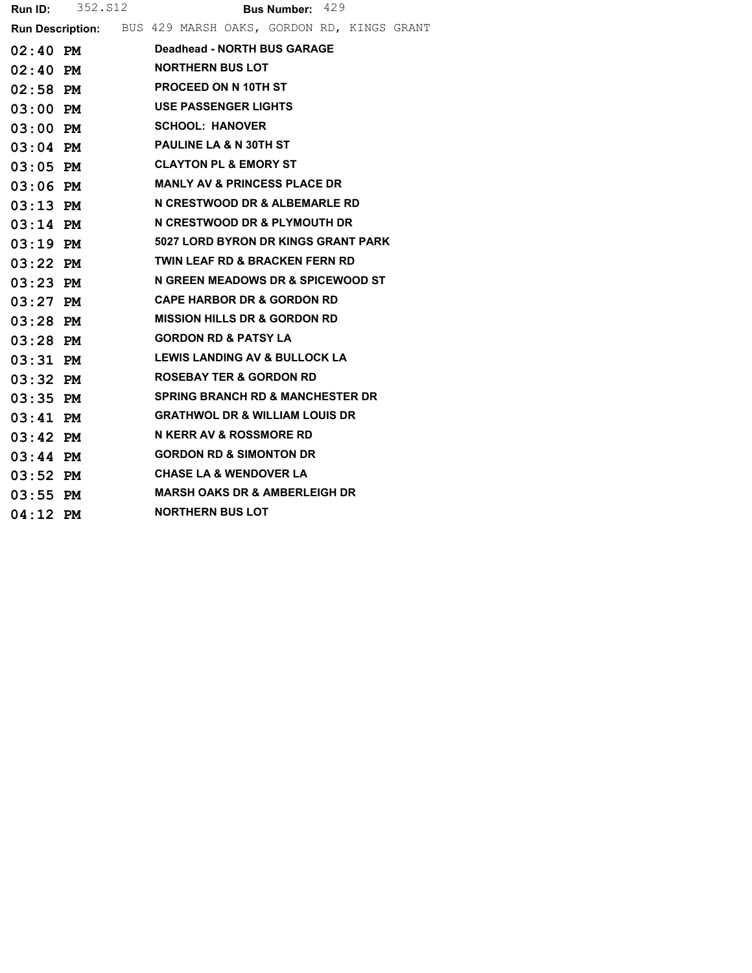| Run ID:    | 352.S12                                                     |  |                                   | <b>Bus Number: 429</b>                      |  |  |
|------------|-------------------------------------------------------------|--|-----------------------------------|---------------------------------------------|--|--|
|            | Run Description: BUS 429 MARSH OAKS, GORDON RD, KINGS GRANT |  |                                   |                                             |  |  |
| 02:40 PM   |                                                             |  |                                   | Deadhead - NORTH BUS GARAGE                 |  |  |
|            | 02:40 PM                                                    |  | <b>NORTHERN BUS LOT</b>           |                                             |  |  |
| 02:58 PM   |                                                             |  | <b>PROCEED ON N 10TH ST</b>       |                                             |  |  |
| 03:00 PM   |                                                             |  | <b>USE PASSENGER LIGHTS</b>       |                                             |  |  |
| 03:00 PM   |                                                             |  | <b>SCHOOL: HANOVER</b>            |                                             |  |  |
| $03:04$ PM |                                                             |  | <b>PAULINE LA &amp; N 30TH ST</b> |                                             |  |  |
| 03:05 PM   |                                                             |  | <b>CLAYTON PL &amp; EMORY ST</b>  |                                             |  |  |
| 03:06 PM   |                                                             |  |                                   | <b>MANLY AV &amp; PRINCESS PLACE DR</b>     |  |  |
| $03:13$ PM |                                                             |  |                                   | N CRESTWOOD DR & ALBEMARLE RD               |  |  |
| 03:14 PM   |                                                             |  |                                   | N CRESTWOOD DR & PLYMOUTH DR                |  |  |
| 03:19 PM   |                                                             |  |                                   | 5027 LORD BYRON DR KINGS GRANT PARK         |  |  |
| 03:22 PM   |                                                             |  |                                   | <b>TWIN LEAF RD &amp; BRACKEN FERN RD</b>   |  |  |
| 03:23 PM   |                                                             |  |                                   | N GREEN MEADOWS DR & SPICEWOOD ST           |  |  |
| 03:27 PM   |                                                             |  |                                   | <b>CAPE HARBOR DR &amp; GORDON RD</b>       |  |  |
| 03:28 PM   |                                                             |  |                                   | <b>MISSION HILLS DR &amp; GORDON RD</b>     |  |  |
| 03:28 PM   |                                                             |  | <b>GORDON RD &amp; PATSY LA</b>   |                                             |  |  |
| 03:31 PM   |                                                             |  |                                   | <b>LEWIS LANDING AV &amp; BULLOCK LA</b>    |  |  |
| 03:32 PM   |                                                             |  |                                   | <b>ROSEBAY TER &amp; GORDON RD</b>          |  |  |
| $03:35$ PM |                                                             |  |                                   | <b>SPRING BRANCH RD &amp; MANCHESTER DR</b> |  |  |
| 03:41 PM   |                                                             |  |                                   | <b>GRATHWOL DR &amp; WILLIAM LOUIS DR</b>   |  |  |
| 03:42 PM   |                                                             |  |                                   | <b>N KERR AV &amp; ROSSMORE RD</b>          |  |  |
| 03:44 PM   |                                                             |  |                                   | <b>GORDON RD &amp; SIMONTON DR</b>          |  |  |
| $03:52$ PM |                                                             |  |                                   | <b>CHASE LA &amp; WENDOVER LA</b>           |  |  |
| 03:55 PM   |                                                             |  |                                   | <b>MARSH OAKS DR &amp; AMBERLEIGH DR</b>    |  |  |
| $04:12$ PM |                                                             |  | <b>NORTHERN BUS LOT</b>           |                                             |  |  |
|            |                                                             |  |                                   |                                             |  |  |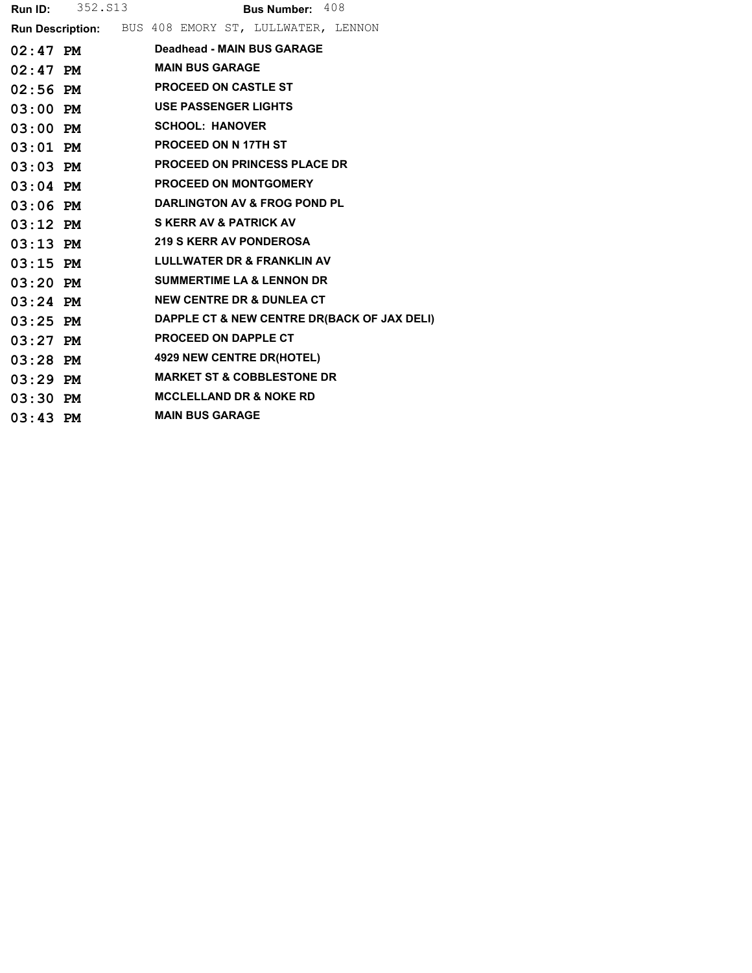|            | <b>Run ID:</b> 352. S13 | Bus Number: 408                                             |
|------------|-------------------------|-------------------------------------------------------------|
|            |                         | <b>Run Description:</b> BUS 408 EMORY ST, LULLWATER, LENNON |
| $02:47$ PM |                         | Deadhead - MAIN BUS GARAGE                                  |
| $02:47$ PM |                         | <b>MAIN BUS GARAGE</b>                                      |
| $02:56$ PM |                         | <b>PROCEED ON CASTLE ST</b>                                 |
| $03:00$ PM |                         | <b>USE PASSENGER LIGHTS</b>                                 |
| $03:00$ PM |                         | <b>SCHOOL: HANOVER</b>                                      |
| $03:01$ PM |                         | <b>PROCEED ON N17TH ST</b>                                  |
| $03:03$ PM |                         | <b>PROCEED ON PRINCESS PLACE DR</b>                         |
| $03:04$ PM |                         | <b>PROCEED ON MONTGOMERY</b>                                |
| $03:06$ PM |                         | DARLINGTON AV & FROG POND PL                                |
| $03:12$ PM |                         | <b>S KERR AV &amp; PATRICK AV</b>                           |
| $03:13$ PM |                         | <b>219 S KERR AV PONDEROSA</b>                              |
| $03:15$ PM |                         | <b>LULLWATER DR &amp; FRANKLIN AV</b>                       |
| $03:20$ PM |                         | <b>SUMMERTIME LA &amp; LENNON DR</b>                        |
| $03:24$ PM |                         | <b>NEW CENTRE DR &amp; DUNLEA CT</b>                        |
| $03:25$ PM |                         | DAPPLE CT & NEW CENTRE DR(BACK OF JAX DELI)                 |
| $03:27$ PM |                         | PROCEED ON DAPPLE CT                                        |
| $03:28$ PM |                         | <b>4929 NEW CENTRE DR(HOTEL)</b>                            |
| $03:29$ PM |                         | <b>MARKET ST &amp; COBBLESTONE DR</b>                       |
| $03:30$ PM |                         | <b>MCCLELLAND DR &amp; NOKE RD</b>                          |
| $03:43$ PM |                         | <b>MAIN BUS GARAGE</b>                                      |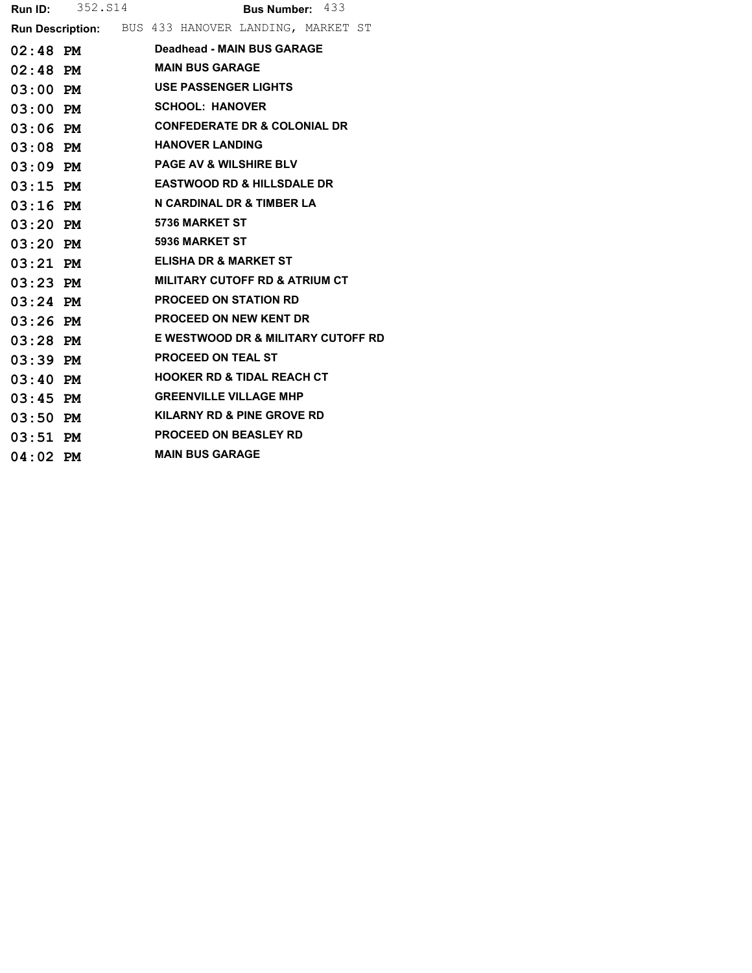|            | <b>Run ID:</b> 352. S14 |                                   | Bus Number: 433                         |                                                            |
|------------|-------------------------|-----------------------------------|-----------------------------------------|------------------------------------------------------------|
|            |                         |                                   |                                         | <b>Run Description:</b> BUS 433 HANOVER LANDING, MARKET ST |
| $02:48$ PM |                         |                                   | <b>Deadhead - MAIN BUS GARAGE</b>       |                                                            |
|            | $02:48$ PM              | <b>MAIN BUS GARAGE</b>            |                                         |                                                            |
| $03:00$ PM |                         | <b>USE PASSENGER LIGHTS</b>       |                                         |                                                            |
| $03:00$ PM |                         | <b>SCHOOL: HANOVER</b>            |                                         |                                                            |
| $03:06$ PM |                         |                                   | <b>CONFEDERATE DR &amp; COLONIAL DR</b> |                                                            |
| $03:08$ PM |                         | <b>HANOVER LANDING</b>            |                                         |                                                            |
| $03:09$ PM |                         | <b>PAGE AV &amp; WILSHIRE BLV</b> |                                         |                                                            |
| $03:15$ PM |                         |                                   | <b>EASTWOOD RD &amp; HILLSDALE DR</b>   |                                                            |
| $03:16$ PM |                         |                                   | N CARDINAL DR & TIMBER LA               |                                                            |
| $03:20$ PM |                         | 5736 MARKET ST                    |                                         |                                                            |
| $03:20$ PM |                         | 5936 MARKET ST                    |                                         |                                                            |
| $03:21$ PM |                         | <b>ELISHA DR &amp; MARKET ST</b>  |                                         |                                                            |
| $03:23$ PM |                         |                                   | MILITARY CUTOFF RD & ATRIUM CT          |                                                            |
| $03:24$ PM |                         | <b>PROCEED ON STATION RD</b>      |                                         |                                                            |
| $03:26$ PM |                         |                                   | <b>PROCEED ON NEW KENT DR</b>           |                                                            |
| $03:28$ PM |                         |                                   |                                         | E WESTWOOD DR & MILITARY CUTOFF RD                         |
| $03:39$ PM |                         | <b>PROCEED ON TEAL ST</b>         |                                         |                                                            |
| $03:40$ PM |                         |                                   | <b>HOOKER RD &amp; TIDAL REACH CT</b>   |                                                            |
| $03:45$ PM |                         |                                   | <b>GREENVILLE VILLAGE MHP</b>           |                                                            |
| $03:50$ PM |                         |                                   | KILARNY RD & PINE GROVE RD              |                                                            |
| $03:51$ PM |                         |                                   | <b>PROCEED ON BEASLEY RD</b>            |                                                            |
| $04:02$ PM |                         | <b>MAIN BUS GARAGE</b>            |                                         |                                                            |
|            |                         |                                   |                                         |                                                            |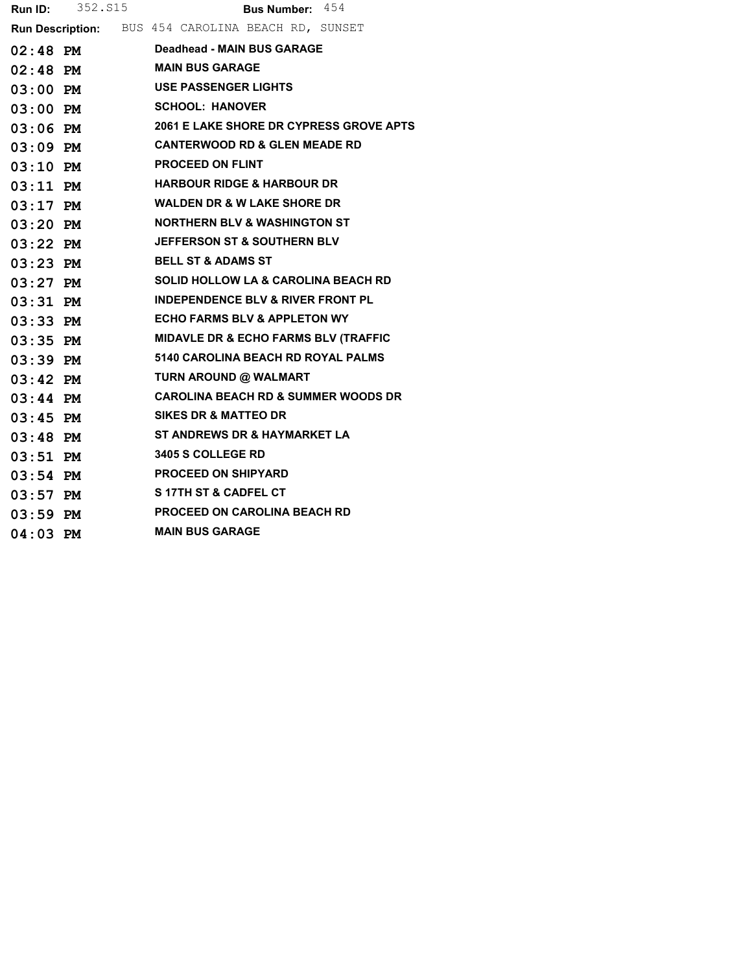|            | <b>Run ID:</b> 352. S15 | Bus Number: 454                                    |
|------------|-------------------------|----------------------------------------------------|
|            |                         | Run Description: BUS 454 CAROLINA BEACH RD, SUNSET |
|            |                         | 02:48 PM Deadhead - MAIN BUS GARAGE                |
|            | $02:48$ PM              | <b>MAIN BUS GARAGE</b>                             |
| 03:00 PM   |                         | <b>USE PASSENGER LIGHTS</b>                        |
| $03:00$ PM |                         | <b>SCHOOL: HANOVER</b>                             |
| $03:06$ PM |                         | 2061 E LAKE SHORE DR CYPRESS GROVE APTS            |
| $03:09$ PM |                         | <b>CANTERWOOD RD &amp; GLEN MEADE RD</b>           |
| $03:10$ PM |                         | <b>PROCEED ON FLINT</b>                            |
| $03:11$ PM |                         | <b>HARBOUR RIDGE &amp; HARBOUR DR</b>              |
| $03:17$ PM |                         | <b>WALDEN DR &amp; W LAKE SHORE DR</b>             |
| $03:20$ PM |                         | NORTHERN BLV & WASHINGTON ST                       |
| $03:22$ PM |                         | <b>JEFFERSON ST &amp; SOUTHERN BLV</b>             |
| $03:23$ PM |                         | <b>BELL ST &amp; ADAMS ST</b>                      |
| $03:27$ PM |                         | <b>SOLID HOLLOW LA &amp; CAROLINA BEACH RD</b>     |
| $03:31$ PM |                         | <b>INDEPENDENCE BLV &amp; RIVER FRONT PL</b>       |
| $03:33$ PM |                         | <b>ECHO FARMS BLV &amp; APPLETON WY</b>            |
| $03:35$ PM |                         | <b>MIDAVLE DR &amp; ECHO FARMS BLV (TRAFFIC</b>    |
| $03:39$ PM |                         | 5140 CAROLINA BEACH RD ROYAL PALMS                 |
| $03:42$ PM |                         | TURN AROUND @ WALMART                              |
| $03:44$ PM |                         | <b>CAROLINA BEACH RD &amp; SUMMER WOODS DR</b>     |
| $03:45$ PM |                         | SIKES DR & MATTEO DR                               |
| $03:48$ PM |                         | <b>ST ANDREWS DR &amp; HAYMARKET LA</b>            |
| $03:51$ PM |                         | <b>3405 S COLLEGE RD</b>                           |
| $03:54$ PM |                         | <b>PROCEED ON SHIPYARD</b>                         |
| $03:57$ PM |                         | <b>S17TH ST &amp; CADFEL CT</b>                    |
| $03:59$ PM |                         | PROCEED ON CAROLINA BEACH RD                       |
| $04:03$ PM |                         | <b>MAIN BUS GARAGE</b>                             |
|            |                         |                                                    |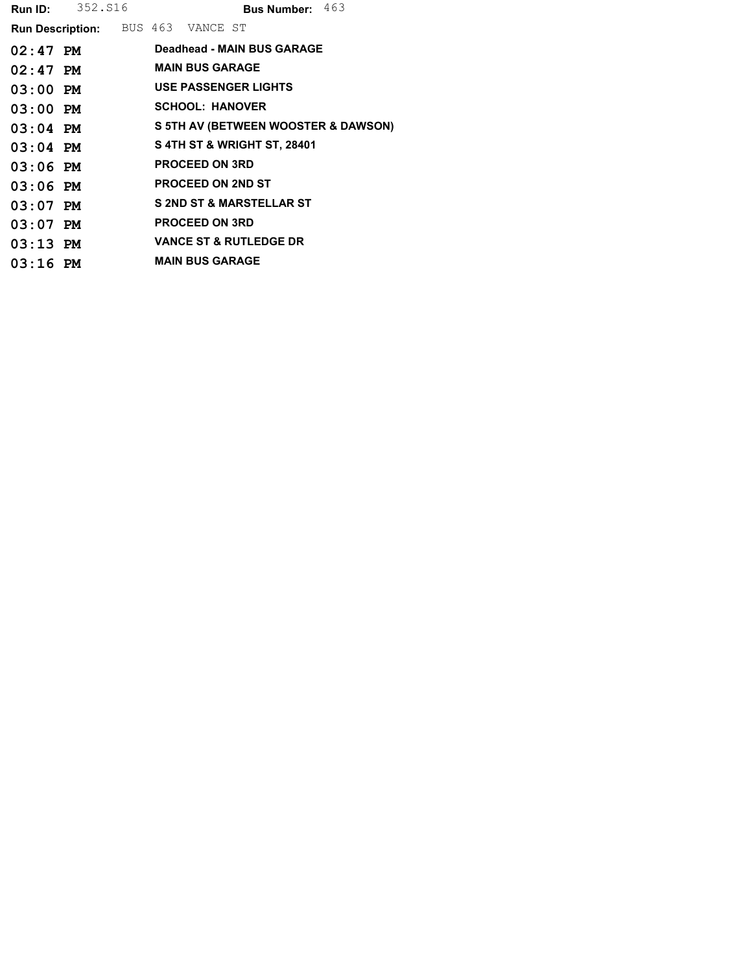|            | <b>Run ID:</b> 352.816 |                                          |                          | <b>Bus Number:</b> $463$              |  |
|------------|------------------------|------------------------------------------|--------------------------|---------------------------------------|--|
|            |                        | <b>Run Description:</b> BUS 463 VANCE ST |                          |                                       |  |
| $02:47$ PM |                        |                                          |                          | Deadhead - MAIN BUS GARAGE            |  |
| $02:47$ PM |                        |                                          | <b>MAIN BUS GARAGE</b>   |                                       |  |
| $03:00$ PM |                        |                                          |                          | <b>USE PASSENGER LIGHTS</b>           |  |
| $03:00$ PM |                        |                                          | <b>SCHOOL: HANOVER</b>   |                                       |  |
| $03:04$ PM |                        |                                          |                          | S 5TH AV (BETWEEN WOOSTER & DAWSON)   |  |
| $03:04$ PM |                        |                                          |                          | <b>S4TH ST &amp; WRIGHT ST, 28401</b> |  |
| $03:06$ PM |                        |                                          | <b>PROCEED ON 3RD</b>    |                                       |  |
| $03:06$ PM |                        |                                          | <b>PROCEED ON 2ND ST</b> |                                       |  |
| $03:07$ PM |                        |                                          |                          | <b>S 2ND ST &amp; MARSTELLAR ST</b>   |  |
| $03:07$ PM |                        |                                          | <b>PROCEED ON 3RD</b>    |                                       |  |
| $03:13$ PM |                        |                                          |                          | <b>VANCE ST &amp; RUTLEDGE DR</b>     |  |
| $03:16$ PM |                        |                                          | <b>MAIN BUS GARAGE</b>   |                                       |  |
|            |                        |                                          |                          |                                       |  |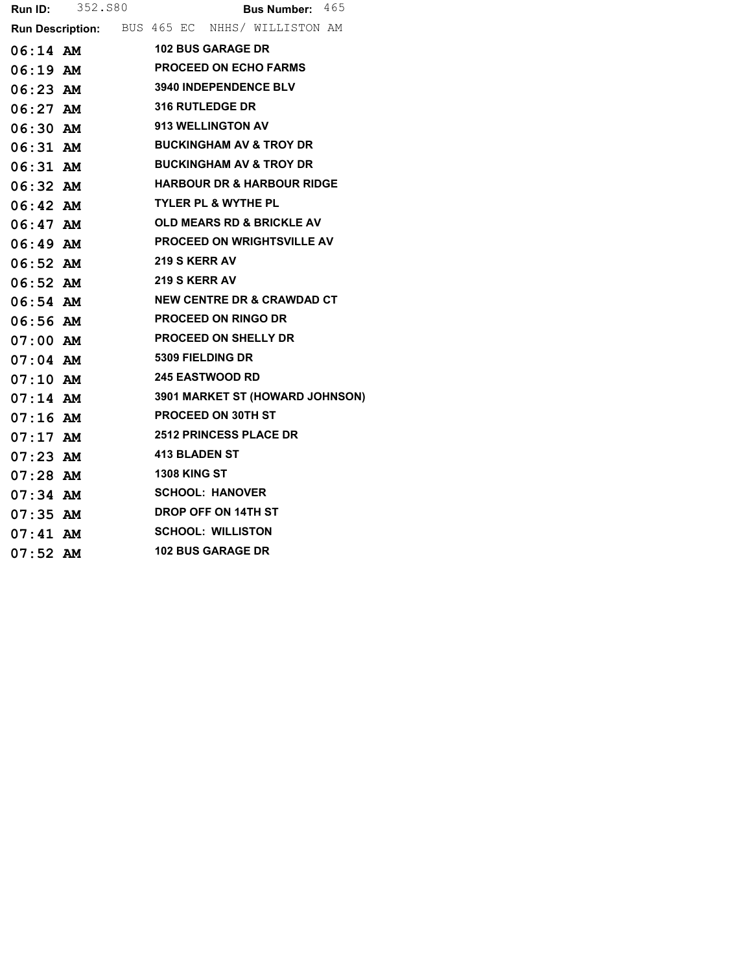|            | <b>Run ID:</b> 352.880 |               |                      |                                | Bus Number: 465                                |  |
|------------|------------------------|---------------|----------------------|--------------------------------|------------------------------------------------|--|
|            |                        |               |                      |                                | Run Description: BUS 465 EC NHHS/ WILLISTON AM |  |
| $06:14$ AM |                        |               |                      | <b>102 BUS GARAGE DR</b>       |                                                |  |
| $06:19$ AM |                        |               |                      |                                | <b>PROCEED ON ECHO FARMS</b>                   |  |
| $06:23$ AM |                        |               |                      | <b>3940 INDEPENDENCE BLV</b>   |                                                |  |
| $06:27$ AM |                        |               |                      | <b>316 RUTLEDGE DR</b>         |                                                |  |
| $06:30$ AM |                        |               |                      | <b>913 WELLINGTON AV</b>       |                                                |  |
| $06:31$ AM |                        |               |                      |                                | <b>BUCKINGHAM AV &amp; TROY DR</b>             |  |
| $06:31$ AM |                        |               |                      |                                | <b>BUCKINGHAM AV &amp; TROY DR</b>             |  |
| $06:32$ AM |                        |               |                      |                                | <b>HARBOUR DR &amp; HARBOUR RIDGE</b>          |  |
| $06:42$ AM |                        |               |                      | <b>TYLER PL &amp; WYTHE PL</b> |                                                |  |
| $06:47$ AM |                        |               |                      |                                | <b>OLD MEARS RD &amp; BRICKLE AV</b>           |  |
| $06:49$ AM |                        |               |                      |                                | <b>PROCEED ON WRIGHTSVILLE AV</b>              |  |
| $06:52$ AM |                        |               | <b>219 S KERR AV</b> |                                |                                                |  |
| $06:52$ AM |                        | 219 S KERR AV |                      |                                |                                                |  |
| $06:54$ AM |                        |               |                      |                                | <b>NEW CENTRE DR &amp; CRAWDAD CT</b>          |  |
| $06:56$ AM |                        |               |                      | <b>PROCEED ON RINGO DR</b>     |                                                |  |
| $07:00$ AM |                        |               |                      | <b>PROCEED ON SHELLY DR</b>    |                                                |  |
| $07:04$ AM |                        |               |                      | <b>5309 FIELDING DR</b>        |                                                |  |
| $07:10$ AM |                        |               |                      | <b>245 EASTWOOD RD</b>         |                                                |  |
| $07:14$ AM |                        |               |                      |                                | 3901 MARKET ST (HOWARD JOHNSON)                |  |
| $07:16$ AM |                        |               |                      | <b>PROCEED ON 30TH ST</b>      |                                                |  |
| $07:17$ AM |                        |               |                      |                                | <b>2512 PRINCESS PLACE DR</b>                  |  |
| $07:23$ AM |                        |               |                      | 413 BLADEN ST                  |                                                |  |
| $07:28$ AM |                        |               | <b>1308 KING ST</b>  |                                |                                                |  |
| $07:34$ AM |                        |               |                      | <b>SCHOOL: HANOVER</b>         |                                                |  |
| $07:35$ AM |                        |               |                      | <b>DROP OFF ON 14TH ST</b>     |                                                |  |
| $07:41$ AM |                        |               |                      | <b>SCHOOL: WILLISTON</b>       |                                                |  |
| $07:52$ AM |                        |               |                      | <b>102 BUS GARAGE DR</b>       |                                                |  |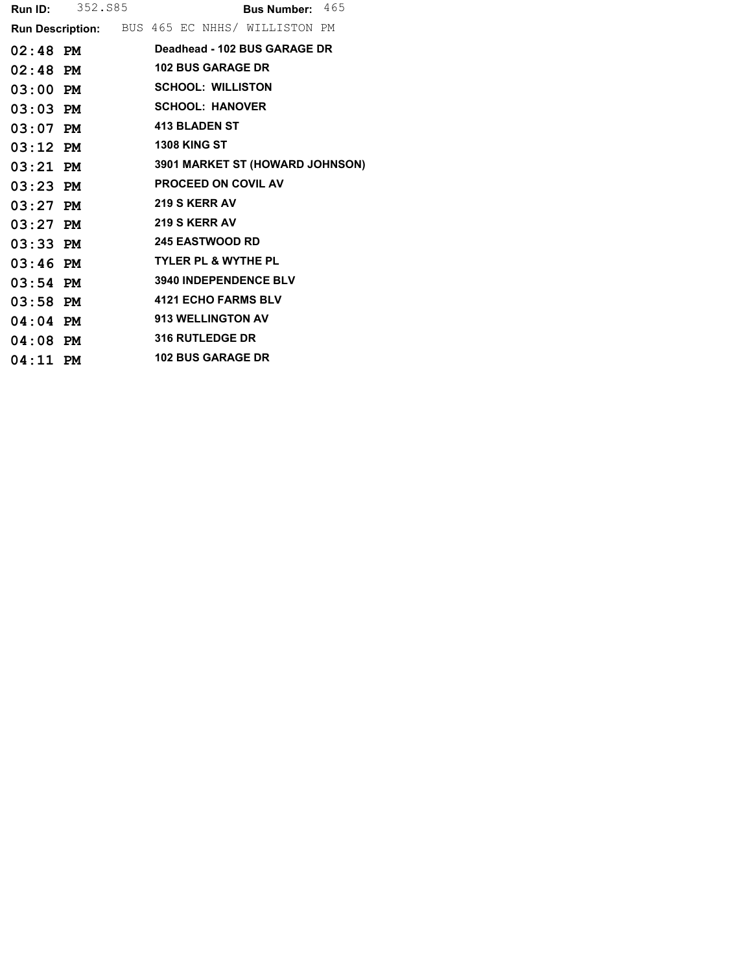|            | <b>Run ID:</b> 352.885 |                      |                     |                                | <b>Bus Number:</b> $465$                       |  |
|------------|------------------------|----------------------|---------------------|--------------------------------|------------------------------------------------|--|
|            |                        |                      |                     |                                | Run Description: BUS 465 EC NHHS/ WILLISTON PM |  |
|            | $02:48$ PM             |                      |                     |                                | Deadhead - 102 BUS GARAGE DR                   |  |
| $02:48$ PM |                        |                      |                     | <b>102 BUS GARAGE DR</b>       |                                                |  |
| $03:00$ PM |                        |                      |                     | <b>SCHOOL: WILLISTON</b>       |                                                |  |
| $03:03$ PM |                        |                      |                     | <b>SCHOOL: HANOVER</b>         |                                                |  |
| $03:07$ PM |                        |                      |                     | <b>413 BLADEN ST</b>           |                                                |  |
| $03:12$ PM |                        |                      | <b>1308 KING ST</b> |                                |                                                |  |
| $03:21$ PM |                        |                      |                     |                                | 3901 MARKET ST (HOWARD JOHNSON)                |  |
| $03:23$ PM |                        |                      |                     |                                | <b>PROCEED ON COVIL AV</b>                     |  |
| $03:27$ PM |                        | <b>219 S KERR AV</b> |                     |                                |                                                |  |
| $03:27$ PM |                        | <b>219 S KERR AV</b> |                     |                                |                                                |  |
| $03:33$ PM |                        |                      |                     | <b>245 EASTWOOD RD</b>         |                                                |  |
| $03:46$ PM |                        |                      |                     | <b>TYLER PL &amp; WYTHE PL</b> |                                                |  |
| $03:54$ PM |                        |                      |                     |                                | 3940 INDEPENDENCE BLV                          |  |
| $03:58$ PM |                        |                      |                     | <b>4121 ECHO FARMS BLV</b>     |                                                |  |
| $04:04$ PM |                        |                      |                     | 913 WELLINGTON AV              |                                                |  |
| $04:08$ PM |                        |                      |                     | <b>316 RUTLEDGE DR</b>         |                                                |  |
| $04:11$ PM |                        |                      |                     | <b>102 BUS GARAGE DR</b>       |                                                |  |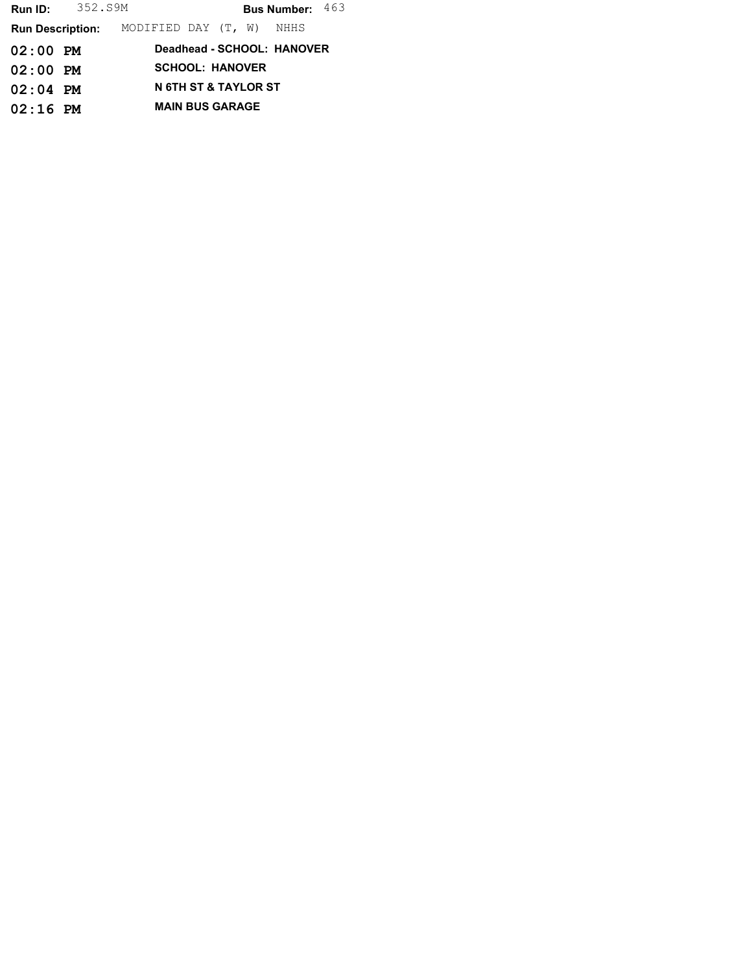**Run ID:** 352.S9M **Bus Number:** 463 Run Description: MODIFIED DAY (T, W) NHHS 02:00 PM Deadhead - SCHOOL: HANOVER 02:00 PM SCHOOL: HANOVER 02:04 PM N 6TH ST & TAYLOR ST 02:16 PM MAIN BUS GARAGE